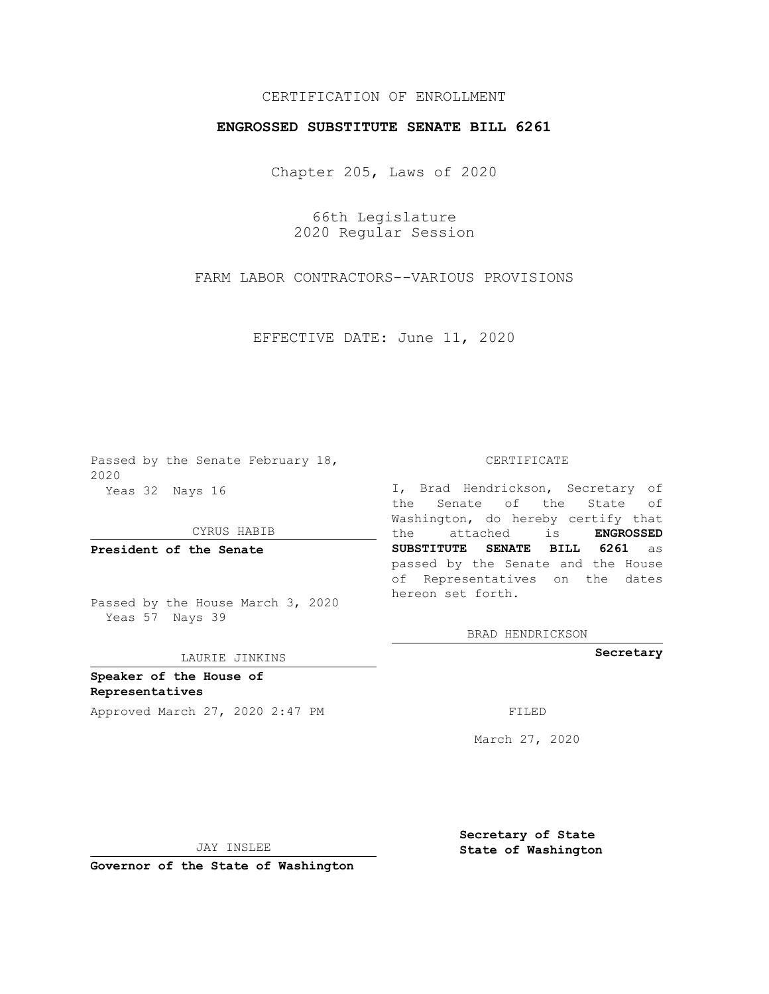# CERTIFICATION OF ENROLLMENT

## **ENGROSSED SUBSTITUTE SENATE BILL 6261**

Chapter 205, Laws of 2020

66th Legislature 2020 Regular Session

FARM LABOR CONTRACTORS--VARIOUS PROVISIONS

EFFECTIVE DATE: June 11, 2020

Passed by the Senate February 18, 2020 Yeas 32 Nays 16

### CYRUS HABIB

**President of the Senate**

Passed by the House March 3, 2020 Yeas 57 Nays 39

#### LAURIE JINKINS

**Speaker of the House of Representatives**

Approved March 27, 2020 2:47 PM

CERTIFICATE

I, Brad Hendrickson, Secretary of the Senate of the State of Washington, do hereby certify that the attached is **ENGROSSED SUBSTITUTE SENATE BILL 6261** as passed by the Senate and the House of Representatives on the dates hereon set forth.

BRAD HENDRICKSON

**Secretary**

March 27, 2020

JAY INSLEE

**Governor of the State of Washington**

**Secretary of State State of Washington**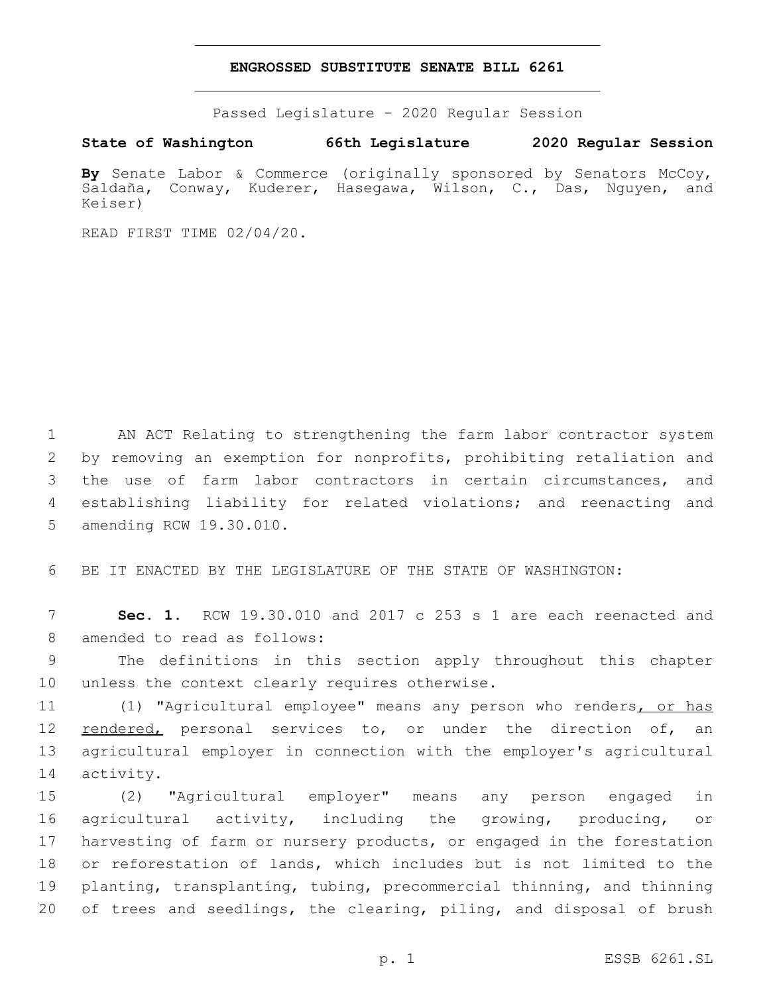### **ENGROSSED SUBSTITUTE SENATE BILL 6261**

Passed Legislature - 2020 Regular Session

**State of Washington 66th Legislature 2020 Regular Session**

**By** Senate Labor & Commerce (originally sponsored by Senators McCoy, Saldaña, Conway, Kuderer, Hasegawa, Wilson, C., Das, Nguyen, and Keiser)

READ FIRST TIME 02/04/20.

 AN ACT Relating to strengthening the farm labor contractor system by removing an exemption for nonprofits, prohibiting retaliation and the use of farm labor contractors in certain circumstances, and establishing liability for related violations; and reenacting and 5 amending RCW 19.30.010.

6 BE IT ENACTED BY THE LEGISLATURE OF THE STATE OF WASHINGTON:

7 **Sec. 1.** RCW 19.30.010 and 2017 c 253 s 1 are each reenacted and 8 amended to read as follows:

9 The definitions in this section apply throughout this chapter 10 unless the context clearly requires otherwise.

11 (1) "Agricultural employee" means any person who renders, or has 12 rendered, personal services to, or under the direction of, an 13 agricultural employer in connection with the employer's agricultural 14 activity.

 (2) "Agricultural employer" means any person engaged in agricultural activity, including the growing, producing, or harvesting of farm or nursery products, or engaged in the forestation or reforestation of lands, which includes but is not limited to the planting, transplanting, tubing, precommercial thinning, and thinning of trees and seedlings, the clearing, piling, and disposal of brush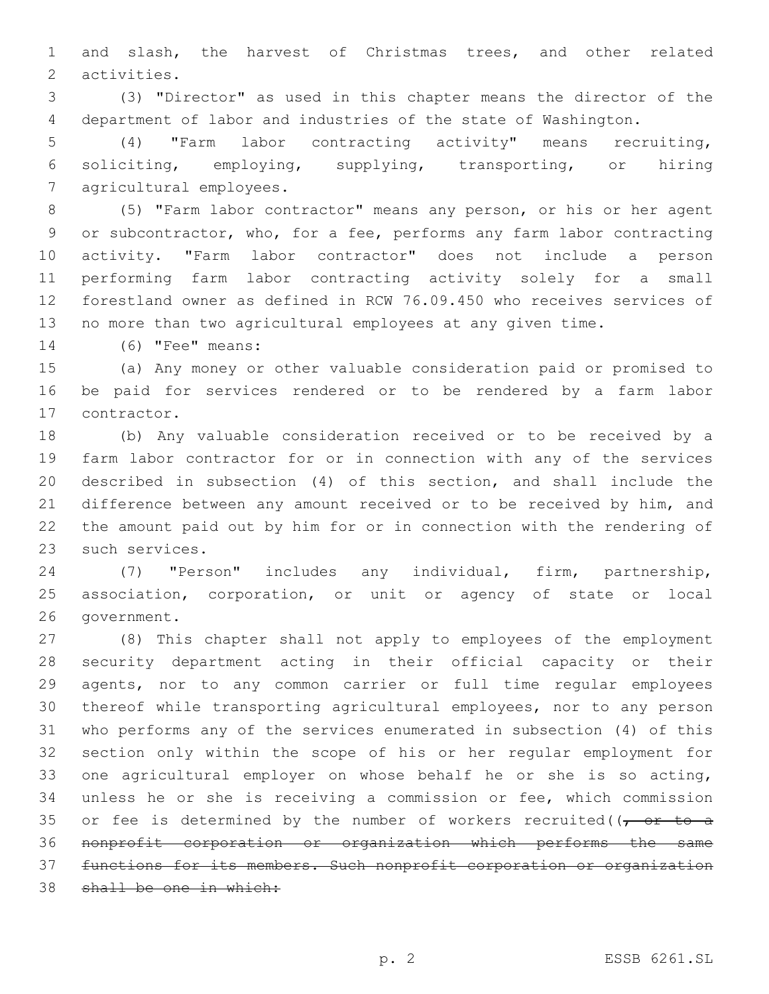and slash, the harvest of Christmas trees, and other related 2 activities.

 (3) "Director" as used in this chapter means the director of the department of labor and industries of the state of Washington.

 (4) "Farm labor contracting activity" means recruiting, soliciting, employing, supplying, transporting, or hiring 7 agricultural employees.

 (5) "Farm labor contractor" means any person, or his or her agent or subcontractor, who, for a fee, performs any farm labor contracting activity. "Farm labor contractor" does not include a person performing farm labor contracting activity solely for a small forestland owner as defined in RCW 76.09.450 who receives services of no more than two agricultural employees at any given time.

14 (6) "Fee" means:

 (a) Any money or other valuable consideration paid or promised to be paid for services rendered or to be rendered by a farm labor 17 contractor.

 (b) Any valuable consideration received or to be received by a farm labor contractor for or in connection with any of the services described in subsection (4) of this section, and shall include the difference between any amount received or to be received by him, and the amount paid out by him for or in connection with the rendering of 23 such services.

 (7) "Person" includes any individual, firm, partnership, association, corporation, or unit or agency of state or local 26 qovernment.

 (8) This chapter shall not apply to employees of the employment security department acting in their official capacity or their agents, nor to any common carrier or full time regular employees thereof while transporting agricultural employees, nor to any person who performs any of the services enumerated in subsection (4) of this section only within the scope of his or her regular employment for one agricultural employer on whose behalf he or she is so acting, unless he or she is receiving a commission or fee, which commission 35 or fee is determined by the number of workers recruited( $\sqrt{r}$  or to a nonprofit corporation or organization which performs the same functions for its members. Such nonprofit corporation or organization shall be one in which: